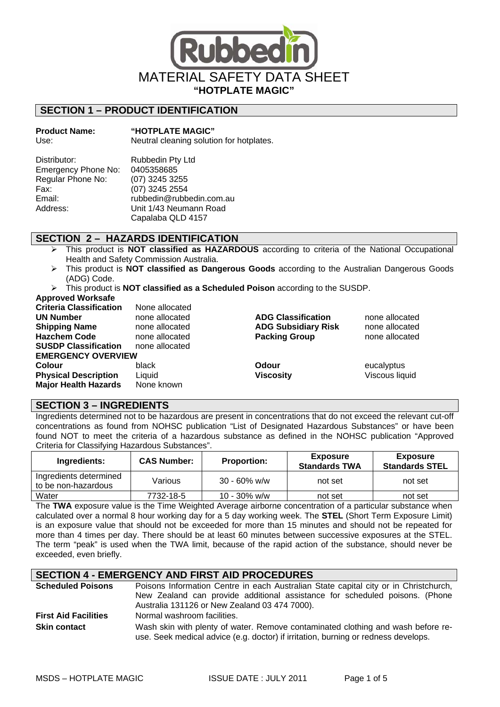

# **SECTION 1 – PRODUCT IDENTIFICATION**

**Product Name: "HOTPLATE MAGIC"**  Use: Neutral cleaning solution for hotplates.

| Distributor:        | Rubbedin Pty Ltd         |
|---------------------|--------------------------|
| Emergency Phone No: | 0405358685               |
| Regular Phone No:   | (07) 3245 3255           |
| Fax:                | (07) 3245 2554           |
| Email:              | rubbedin@rubbedin.com.au |
| Address:            | Unit 1/43 Neumann Road   |
|                     | Capalaba QLD 4157        |

## **SECTION 2 – HAZARDS IDENTIFICATION**

- ¾ This product is **NOT classified as HAZARDOUS** according to criteria of the National Occupational Health and Safety Commission Australia.
- ¾ This product is **NOT classified as Dangerous Goods** according to the Australian Dangerous Goods (ADG) Code.
- ¾ This product is **NOT classified as a Scheduled Poison** according to the SUSDP.

**Approved Worksafe** 

| <b>Criteria Classification</b><br><b>UN Number</b><br><b>Shipping Name</b><br><b>Hazchem Code</b><br><b>SUSDP Classification</b><br><b>EMERGENCY OVERVIEW</b> | None allocated<br>none allocated<br>none allocated<br>none allocated<br>none allocated | <b>ADG Classification</b><br><b>ADG Subsidiary Risk</b><br><b>Packing Group</b> | none allocated<br>none allocated<br>none allocated |
|---------------------------------------------------------------------------------------------------------------------------------------------------------------|----------------------------------------------------------------------------------------|---------------------------------------------------------------------------------|----------------------------------------------------|
| <b>Colour</b><br><b>Physical Description</b><br><b>Major Health Hazards</b>                                                                                   | black<br>Liquid<br>None known                                                          | Odour<br><b>Viscosity</b>                                                       | eucalyptus<br>Viscous liquid                       |

## **SECTION 3 – INGREDIENTS**

Ingredients determined not to be hazardous are present in concentrations that do not exceed the relevant cut-off concentrations as found from NOHSC publication "List of Designated Hazardous Substances" or have been found NOT to meet the criteria of a hazardous substance as defined in the NOHSC publication "Approved Criteria for Classifying Hazardous Substances".

| Ingredients:                                  | <b>CAS Number:</b> | <b>Proportion:</b> | <b>Exposure</b><br><b>Standards TWA</b> | <b>Exposure</b><br><b>Standards STEL</b> |
|-----------------------------------------------|--------------------|--------------------|-----------------------------------------|------------------------------------------|
| Ingredients determined<br>to be non-hazardous | Various            | $30 - 60\%$ w/w    | not set                                 | not set                                  |
| Water                                         | 7732-18-5          | $10 - 30\%$ w/w    | not set                                 | not set                                  |

The **TWA** exposure value is the Time Weighted Average airborne concentration of a particular substance when calculated over a normal 8 hour working day for a 5 day working week. The **STEL** (Short Term Exposure Limit) is an exposure value that should not be exceeded for more than 15 minutes and should not be repeated for more than 4 times per day. There should be at least 60 minutes between successive exposures at the STEL. The term "peak" is used when the TWA limit, because of the rapid action of the substance, should never be exceeded, even briefly.

## **SECTION 4 - EMERGENCY AND FIRST AID PROCEDURES**

| <b>Scheduled Poisons</b>    | Poisons Information Centre in each Australian State capital city or in Christchurch,<br>New Zealand can provide additional assistance for scheduled poisons. (Phone    |
|-----------------------------|------------------------------------------------------------------------------------------------------------------------------------------------------------------------|
|                             | Australia 131126 or New Zealand 03 474 7000).                                                                                                                          |
| <b>First Aid Facilities</b> | Normal washroom facilities.                                                                                                                                            |
| <b>Skin contact</b>         | Wash skin with plenty of water. Remove contaminated clothing and wash before re-<br>use. Seek medical advice (e.g. doctor) if irritation, burning or redness develops. |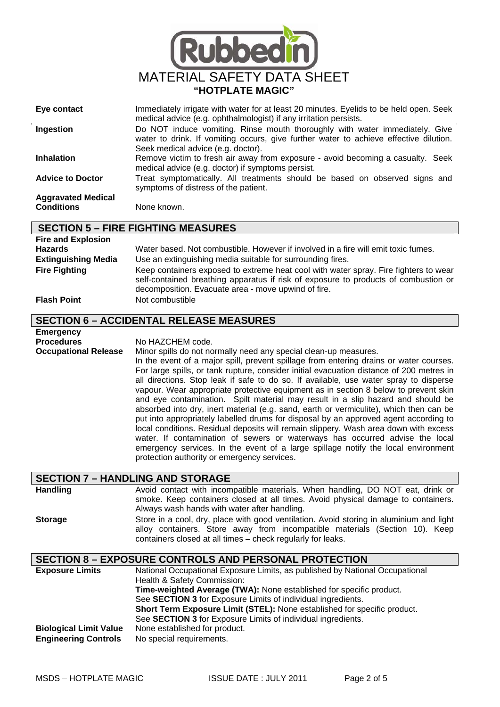

| Eye contact                                    | Immediately irrigate with water for at least 20 minutes. Eyelids to be held open. Seek<br>medical advice (e.g. ophthalmologist) if any irritation persists.                                                |
|------------------------------------------------|------------------------------------------------------------------------------------------------------------------------------------------------------------------------------------------------------------|
| Ingestion                                      | Do NOT induce vomiting. Rinse mouth thoroughly with water immediately. Give<br>water to drink. If vomiting occurs, give further water to achieve effective dilution.<br>Seek medical advice (e.g. doctor). |
| <b>Inhalation</b>                              | Remove victim to fresh air away from exposure - avoid becoming a casualty. Seek<br>medical advice (e.g. doctor) if symptoms persist.                                                                       |
| <b>Advice to Doctor</b>                        | Treat symptomatically. All treatments should be based on observed signs and<br>symptoms of distress of the patient.                                                                                        |
| <b>Aggravated Medical</b><br><b>Conditions</b> | None known.                                                                                                                                                                                                |

# **SECTION 5 – FIRE FIGHTING MEASURES**

| <b>Fire and Explosion</b>  |                                                                                                                                                                                                                                    |
|----------------------------|------------------------------------------------------------------------------------------------------------------------------------------------------------------------------------------------------------------------------------|
| <b>Hazards</b>             | Water based. Not combustible. However if involved in a fire will emit toxic fumes.                                                                                                                                                 |
| <b>Extinguishing Media</b> | Use an extinguishing media suitable for surrounding fires.                                                                                                                                                                         |
| <b>Fire Fighting</b>       | Keep containers exposed to extreme heat cool with water spray. Fire fighters to wear<br>self-contained breathing apparatus if risk of exposure to products of combustion or<br>decomposition. Evacuate area - move upwind of fire. |
| <b>Flash Point</b>         | Not combustible                                                                                                                                                                                                                    |

# **SECTION 6 – ACCIDENTAL RELEASE MEASURES**

**Emergency** 

**Procedures No HAZCHEM code.** 

**Occupational Release** Minor spills do not normally need any special clean-up measures. In the event of a major spill, prevent spillage from entering drains or water courses. For large spills, or tank rupture, consider initial evacuation distance of 200 metres in all directions. Stop leak if safe to do so. If available, use water spray to disperse vapour. Wear appropriate protective equipment as in section 8 below to prevent skin and eye contamination. Spilt material may result in a slip hazard and should be absorbed into dry, inert material (e.g. sand, earth or vermiculite), which then can be put into appropriately labelled drums for disposal by an approved agent according to local conditions. Residual deposits will remain slippery. Wash area down with excess water. If contamination of sewers or waterways has occurred advise the local emergency services. In the event of a large spillage notify the local environment protection authority or emergency services.

### **SECTION 7 – HANDLING AND STORAGE**

Handling **Handling** Avoid contact with incompatible materials. When handling, DO NOT eat, drink or smoke. Keep containers closed at all times. Avoid physical damage to containers. Always wash hands with water after handling. **Storage** Store in a cool, dry, place with good ventilation. Avoid storing in aluminium and light alloy containers. Store away from incompatible materials (Section 10). Keep containers closed at all times – check regularly for leaks.

## **SECTION 8 – EXPOSURE CONTROLS AND PERSONAL PROTECTION**

| <b>Exposure Limits</b>        | National Occupational Exposure Limits, as published by National Occupational |
|-------------------------------|------------------------------------------------------------------------------|
|                               | Health & Safety Commission:                                                  |
|                               | Time-weighted Average (TWA): None established for specific product.          |
|                               | See <b>SECTION 3</b> for Exposure Limits of individual ingredients.          |
|                               | Short Term Exposure Limit (STEL): None established for specific product.     |
|                               | See SECTION 3 for Exposure Limits of individual ingredients.                 |
| <b>Biological Limit Value</b> | None established for product.                                                |
| <b>Engineering Controls</b>   | No special requirements.                                                     |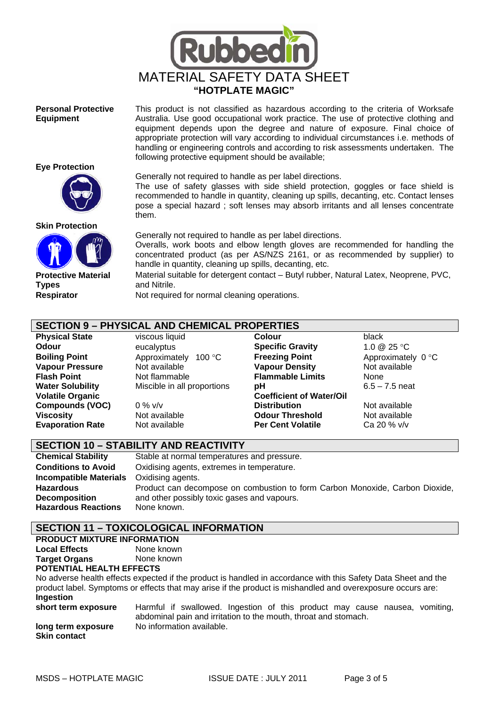

#### **Personal Protective Equipment**

This product is not classified as hazardous according to the criteria of Worksafe Australia. Use good occupational work practice. The use of protective clothing and equipment depends upon the degree and nature of exposure. Final choice of appropriate protection will vary according to individual circumstances i.e. methods of handling or engineering controls and according to risk assessments undertaken. The following protective equipment should be available;

## **Eye Protection**



#### **Skin Protection**



**Protective Material Types** 

Generally not required to handle as per label directions.

The use of safety glasses with side shield protection, goggles or face shield is recommended to handle in quantity, cleaning up spills, decanting, etc. Contact lenses pose a special hazard ; soft lenses may absorb irritants and all lenses concentrate them.

Generally not required to handle as per label directions.

Overalls, work boots and elbow length gloves are recommended for handling the concentrated product (as per AS/NZS 2161, or as recommended by supplier) to handle in quantity, cleaning up spills, decanting, etc.

Material suitable for detergent contact – Butyl rubber, Natural Latex, Neoprene, PVC, and Nitrile.

**Respirator** Not required for normal cleaning operations.

# **SECTION 9 – PHYSICAL AND CHEMICAL PROPERTIES**

**Volatile Organic Compounds (VOC)** 0 % v/v

**Water Solubility Miscible in all proportions pH** 

**Physical State** viscous liquid **Colour** black **Odour** eucalyptus **Specific Gravity** 1.0 @ 25 °C **Boiling Point** Approximately 100 °C **Freezing Point** Approximately 0 °C **Vapour Pressure** Not available **Vapour Density** Not available **Flash Point Not flammable <b>Flammable Limits** None **Water Solubility** Miscible in all proportions **phenomena Container 1986** 6.5 – 7.5 neat **Coefficient of Water/Oil Distribution** Not available **Viscosity** Not available **Odour Threshold** Not available **Evaporation Rate Not available <b>Per Cent Volatile Ca 20 % v/v** 

## **SECTION 10 – STABILITY AND REACTIVITY**

| <b>Chemical Stability</b>  | Stable at normal temperatures and pressure.                                  |
|----------------------------|------------------------------------------------------------------------------|
| <b>Conditions to Avoid</b> | Oxidising agents, extremes in temperature.                                   |
| Incompatible Materials     | Oxidising agents.                                                            |
| <b>Hazardous</b>           | Product can decompose on combustion to form Carbon Monoxide, Carbon Dioxide, |
| <b>Decomposition</b>       | and other possibly toxic gases and vapours.                                  |
| <b>Hazardous Reactions</b> | None known.                                                                  |

## **SECTION 11 – TOXICOLOGICAL INFORMATION**

| <b>PRODUCT MIXTURE INFORMATION</b> |            |
|------------------------------------|------------|
| <b>Local Effects</b>               | None known |
| <b>Target Organs</b>               | None known |

### **POTENTIAL HEALTH EFFECTS**

No adverse health effects expected if the product is handled in accordance with this Safety Data Sheet and the product label. Symptoms or effects that may arise if the product is mishandled and overexposure occurs are: **Ingestion** 

| short term exposure |                           | Harmful if swallowed. Ingestion of this product may cause nausea, vomiting, |  |  |  |  |
|---------------------|---------------------------|-----------------------------------------------------------------------------|--|--|--|--|
|                     |                           | abdominal pain and irritation to the mouth, throat and stomach.             |  |  |  |  |
| long term exposure  | No information available. |                                                                             |  |  |  |  |
| <b>Skin contact</b> |                           |                                                                             |  |  |  |  |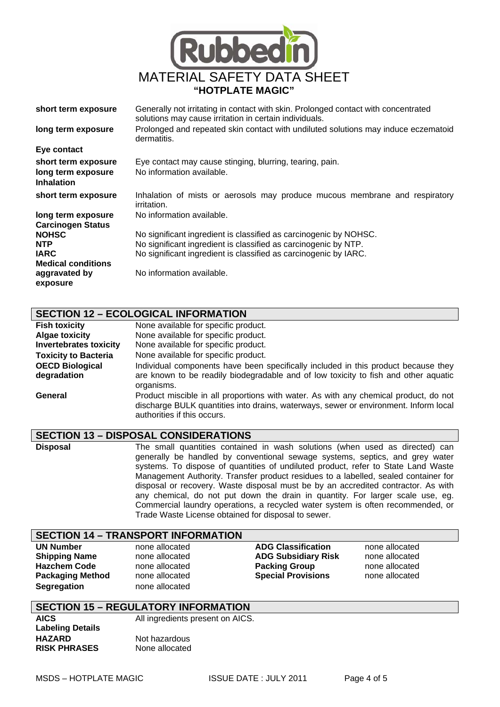

| short term exposure<br>long term exposure                      | Generally not irritating in contact with skin. Prolonged contact with concentrated<br>solutions may cause irritation in certain individuals.<br>Prolonged and repeated skin contact with undiluted solutions may induce eczematoid<br>dermatitis. |
|----------------------------------------------------------------|---------------------------------------------------------------------------------------------------------------------------------------------------------------------------------------------------------------------------------------------------|
| Eye contact                                                    |                                                                                                                                                                                                                                                   |
| short term exposure<br>long term exposure<br><b>Inhalation</b> | Eye contact may cause stinging, blurring, tearing, pain.<br>No information available.                                                                                                                                                             |
| short term exposure                                            | Inhalation of mists or aerosols may produce mucous membrane and respiratory<br><i>irritation.</i>                                                                                                                                                 |
| long term exposure<br><b>Carcinogen Status</b>                 | No information available.                                                                                                                                                                                                                         |
| <b>NOHSC</b>                                                   | No significant ingredient is classified as carcinogenic by NOHSC.                                                                                                                                                                                 |
| <b>NTP</b>                                                     | No significant ingredient is classified as carcinogenic by NTP.                                                                                                                                                                                   |
| <b>IARC</b>                                                    | No significant ingredient is classified as carcinogenic by IARC.                                                                                                                                                                                  |
| <b>Medical conditions</b><br>aggravated by<br>exposure         | No information available.                                                                                                                                                                                                                         |

## **SECTION 12 – ECOLOGICAL INFORMATION**

| <b>Fish toxicity</b>                  | None available for specific product.                                                                                                                                                                        |
|---------------------------------------|-------------------------------------------------------------------------------------------------------------------------------------------------------------------------------------------------------------|
| <b>Algae toxicity</b>                 | None available for specific product.                                                                                                                                                                        |
| <b>Invertebrates toxicity</b>         | None available for specific product.                                                                                                                                                                        |
| <b>Toxicity to Bacteria</b>           | None available for specific product.                                                                                                                                                                        |
| <b>OECD Biological</b><br>degradation | Individual components have been specifically included in this product because they<br>are known to be readily biodegradable and of low toxicity to fish and other aquatic<br>organisms.                     |
| General                               | Product miscible in all proportions with water. As with any chemical product, do not<br>discharge BULK quantities into drains, waterways, sewer or environment. Inform local<br>authorities if this occurs. |

## **SECTION 13 – DISPOSAL CONSIDERATIONS**

**Disposal** The small quantities contained in wash solutions (when used as directed) can generally be handled by conventional sewage systems, septics, and grey water systems. To dispose of quantities of undiluted product, refer to State Land Waste Management Authority. Transfer product residues to a labelled, sealed container for disposal or recovery. Waste disposal must be by an accredited contractor. As with any chemical, do not put down the drain in quantity. For larger scale use, eg. Commercial laundry operations, a recycled water system is often recommended, or Trade Waste License obtained for disposal to sewer.

## **SECTION 14 – TRANSPORT INFORMATION**

**UN Number** none allocated **ADG Classification** none allocated **Segregation none allocated** 

**Shipping Name none allocated ADG Subsidiary Risk none allocated Hazchem Code none allocated Risk** *none allocated* **ADG Subsidiary Risk none allocated Facking Group**<br> **Hacking Group**<br> **Packing Group** *Special Provisions* **Packaging Method** none allocated **Special Provisions** none allocated

# **SECTION 15 – REGULATORY INFORMATION**

**Labeling Details HAZARD** Not hazardous **RISK PHRASES** None allocated

**AICS** All ingredients present on AICS.